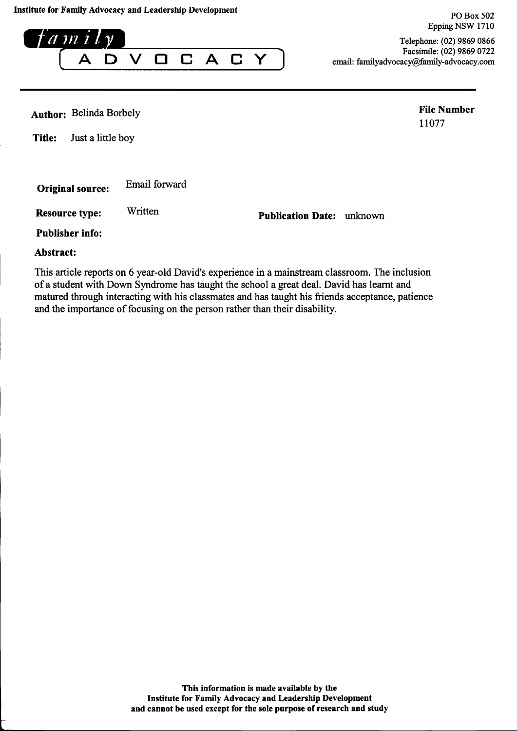$a$  m i  $l$   $\nu$  $\Box$  $\mathbf{A}$  $\checkmark$  $\mathbf C$  $\boldsymbol{\Delta}$  $\Box$ Y

Telephone: (02) 9869 0866 Facsimile: (02) 9869 0722 email: familyadvocacy@family-advocacy.com

**Author: Belinda Borbely** 

**File Number** 11077

PO Box 502 Epping NSW 1710

**Title:** Just a little boy

Email forward **Original source:** 

Written **Resource type:** 

**Publication Date:** unknown

**Publisher info:** 

Abstract:

This article reports on 6 year-old David's experience in a mainstream classroom. The inclusion of a student with Down Syndrome has taught the school a great deal. David has learnt and matured through interacting with his classmates and has taught his friends acceptance, patience and the importance of focusing on the person rather than their disability.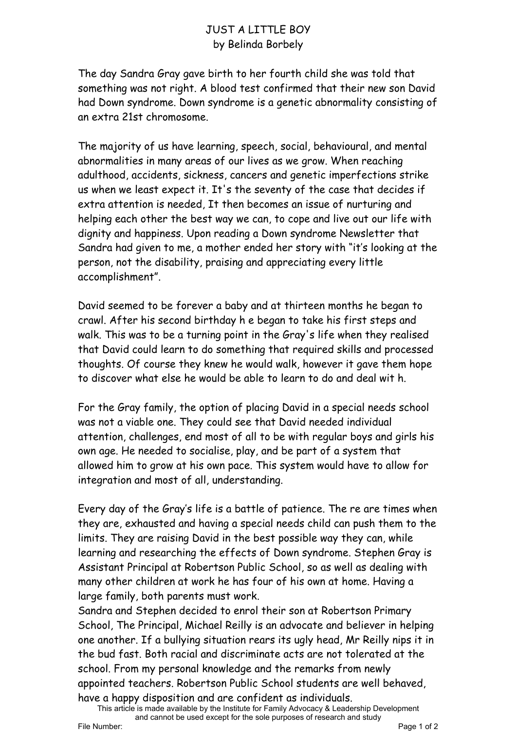## JUST A LITTLE BOY by Belinda Borbely

The day Sandra Gray gave birth to her fourth child she was told that something was not right. A blood test confirmed that their new son David had Down syndrome. Down syndrome is a genetic abnormality consisting of an extra 21st chromosome.

The majority of us have learning, speech, social, behavioural, and mental abnormalities in many areas of our lives as we grow. When reaching adulthood, accidents, sickness, cancers and genetic imperfections strike us when we least expect it. It's the seventy of the case that decides if extra attention is needed, It then becomes an issue of nurturing and helping each other the best way we can, to cope and live out our life with dignity and happiness. Upon reading a Down syndrome Newsletter that Sandra had given to me, a mother ended her story with "it's looking at the person, not the disability, praising and appreciating every little accomplishment".

David seemed to be forever a baby and at thirteen months he began to crawl. After his second birthday h e began to take his first steps and walk. This was to be a turning point in the Gray's life when they realised that David could learn to do something that required skills and processed thoughts. Of course they knew he would walk, however it gave them hope to discover what else he would be able to learn to do and deal wit h.

For the Gray family, the option of placing David in a special needs school was not a viable one. They could see that David needed individual attention, challenges, end most of all to be with regular boys and girls his own age. He needed to socialise, play, and be part of a system that allowed him to grow at his own pace. This system would have to allow for integration and most of all, understanding.

Every day of the Gray's life is a battle of patience. The re are times when they are, exhausted and having a special needs child can push them to the limits. They are raising David in the best possible way they can, while learning and researching the effects of Down syndrome. Stephen Gray is Assistant Principal at Robertson Public School, so as well as dealing with many other children at work he has four of his own at home. Having a large family, both parents must work.

Sandra and Stephen decided to enrol their son at Robertson Primary School, The Principal, Michael Reilly is an advocate and believer in helping one another. If a bullying situation rears its ugly head, Mr Reilly nips it in the bud fast. Both racial and discriminate acts are not tolerated at the school. From my personal knowledge and the remarks from newly appointed teachers. Robertson Public School students are well behaved, have a happy disposition and are confident as individuals.

This article is made available by the Institute for Family Advocacy & Leadership Development and cannot be used except for the sole purposes of research and study